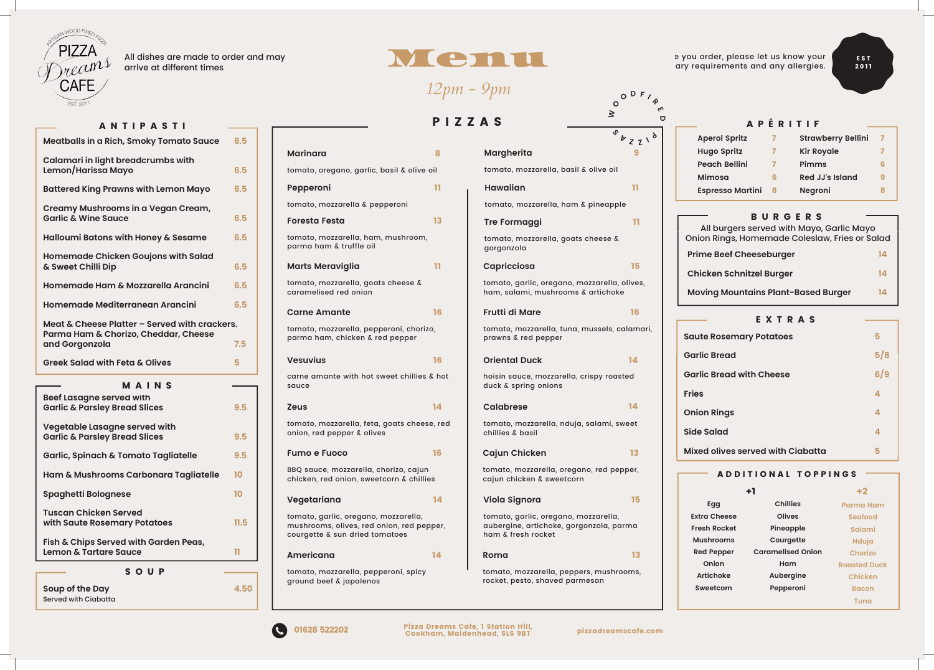#### **Moving Mountains Plant-Based Burger**  $-$  **EXTRAS** — **EXTRAS** — **Side Salad**

**Marina Marinara** 

*12pm - 9pm*

*12pm - 9pm*

#### HUNGRY? HUNGRY? **5-Spice Dusted Whitebait**

£ 6 . 5 0 E A C H / 3 F O R £ 1 7 . 5 0

£ 6 . 5 0 E A C + 5 0 E A C + 5 0 E A C + 5 0 E A C + 5 0 E A C + 5 0 E A C + 5 0 E A C + 5 0 E A C + 5 0 E A

 $\mathbf{F} = \mathbf{F} \cdot \mathbf{F} \cdot \mathbf{F} \cdot \mathbf{F} \cdot \mathbf{F} \cdot \mathbf{F} \cdot \mathbf{F} \cdot \mathbf{F} \cdot \mathbf{F} \cdot \mathbf{F} \cdot \mathbf{F} \cdot \mathbf{F} \cdot \mathbf{F} \cdot \mathbf{F} \cdot \mathbf{F} \cdot \mathbf{F} \cdot \mathbf{F} \cdot \mathbf{F} \cdot \mathbf{F} \cdot \mathbf{F} \cdot \mathbf{F} \cdot \mathbf{F} \cdot \mathbf{F} \cdot \mathbf{F} \cdot \mathbf{F} \cdot \mathbf{F} \cdot \mathbf{F}$ 

#### Menu Menu *12pm - 9pm 12pm - 9pm 12pm - 9pm* Menu Menu di Kabupatén Bandung Kabupatén Ing Kabupatén Kabupatén Kabupatén Kabupatén Kabupatén Ka *12pm - 9pm* Menu and the contract of the contract of the contract of the contract of the contract of the contract of the contract of the contract of the contract of the contract of the contract of the contract of the contract of the c *12pm - 9pm* Menu Menu tomato, mozzarella & pepperoni tomato, mozzarella, ham & pineapple 13 **Tre Formaggi** tomato, mozzarella, ham bizarella, ham bizarella, ham bizarella, ham bizarella, ham bizarella, ham bizarella, h 8 **Margherita Aperitifs** <sup>P</sup> <sup>I</sup> ZZAS

| <b>BURGERS</b><br>All burgers served with Mayo, Garlic Mayo<br>Onion Rings, Homemade Coleslaw, Fries or Salad |    |
|---------------------------------------------------------------------------------------------------------------|----|
| <b>Prime Beef Cheeseburger</b>                                                                                | 14 |
| <b>Chicken Schnitzel Burger</b>                                                                               | 14 |
| <b>Moving Mountains Plant-Based Burger</b>                                                                    | 14 |
| EXTRAS                                                                                                        |    |
| <b>Saute Rosemary Potatoes</b>                                                                                | 5  |

|                 | Tenu                                  |                  | e you order, please let us know your | EST                         |                |
|-----------------|---------------------------------------|------------------|--------------------------------------|-----------------------------|----------------|
|                 |                                       |                  | ary requirements and any allergies.  | 2011                        |                |
| $12pm - 9pm$    |                                       | O <sup>D</sup> F |                                      |                             |                |
|                 |                                       | $\circ$<br>3     |                                      |                             |                |
| PIZZAS          |                                       |                  |                                      | APÉRITIF                    |                |
|                 |                                       | $b_{ZZ}$         | <b>Aperol Spritz</b>                 | <b>Strawberry Bellini</b> 7 |                |
|                 | Margherita                            |                  | <b>Hugo Spritz</b>                   | <b>Kir Royale</b>           |                |
| olive oil       | tomato, mozzarella, basil & olive oil |                  | <b>Peach Bellini</b>                 | Pimms                       | 6              |
|                 |                                       |                  | Mimosa                               | <b>Red JJ's Island</b>      | $\overline{9}$ |
| 11 <sub>1</sub> | Hawaiian                              | 11 <sub>1</sub>  | <b>Espresso Martini &amp;</b>        | Negroni                     | 8              |
|                 | tomato, mozzarella, ham & pineapple   |                  |                                      |                             |                |

| at different times                    |                 |                                                                                                                     |               | Menu                                                                                                  |                  | ary requirements and any allergies.                                          |                                       |                                        |
|---------------------------------------|-----------------|---------------------------------------------------------------------------------------------------------------------|---------------|-------------------------------------------------------------------------------------------------------|------------------|------------------------------------------------------------------------------|---------------------------------------|----------------------------------------|
|                                       |                 |                                                                                                                     |               | $12pm - 9pm$                                                                                          | DF               |                                                                              |                                       |                                        |
| <b>STI</b>                            |                 |                                                                                                                     |               | PIZZAS                                                                                                | $\geq$<br>$\Box$ |                                                                              | APÉRITIF                              |                                        |
| <b>Tomato Sauce</b>                   | 6.5             |                                                                                                                     |               |                                                                                                       | $0$<br>$V_{ZZ}$  | <b>Aperol Spritz</b>                                                         |                                       | <b>Strawberry</b>                      |
| mbs with                              |                 | <b>Marinara</b>                                                                                                     | 8             | <b>Margherita</b>                                                                                     |                  | <b>Hugo Spritz</b>                                                           | $\mathbf{z}$                          | <b>Kir Royale</b>                      |
|                                       | 6.5             | tomato, oregano, garlic, basil & olive oil                                                                          |               | tomato, mozzarella, basil & olive oil                                                                 |                  | <b>Peach Bellini</b>                                                         | $\mathbf{7}$                          | <b>Pimms</b>                           |
| <b>Lemon Mayo</b>                     | 6.5             | Pepperoni                                                                                                           | $\mathbf{11}$ | <b>Hawaiian</b>                                                                                       | 11               | <b>Mimosa</b><br><b>Espresso Martini 8</b>                                   | 6                                     | <b>Red JJ's Islo</b><br><b>Negroni</b> |
| egan Cream,                           |                 | tomato, mozzarella & pepperoni                                                                                      |               | tomato, mozzarella, ham & pineapple                                                                   |                  |                                                                              |                                       |                                        |
|                                       | 6.5             | <b>Foresta Festa</b>                                                                                                | 13            | <b>Tre Formaggi</b>                                                                                   | 11               |                                                                              | <b>BURGERS</b>                        |                                        |
| ey & Sesame                           | 6.5             | tomato, mozzarella, ham, mushroom,<br>parma ham & truffle oil                                                       |               | tomato, mozzarella, goats cheese &<br>gorgonzola                                                      |                  | Onion Rings, Homemade Coleslaw, Frie                                         | All burgers served with Mayo, Garli   |                                        |
| ons with Salad                        | 6.5             | <b>Marts Meraviglia</b>                                                                                             | -11.          | Capricciosa                                                                                           | 15               | <b>Prime Beef Cheeseburger</b>                                               |                                       |                                        |
| ella Arancini                         | 6.5             | tomato, mozzarella, goats cheese &<br>caramelised red onion                                                         |               | tomato, garlic, oregano, mozzarella, olives,<br>ham, salami, mushrooms & artichoke                    |                  | <b>Chicken Schnitzel Burger</b><br><b>Moving Mountains Plant-Based Burge</b> |                                       |                                        |
| n Arancini                            | 6.5             | <b>Carne Amante</b>                                                                                                 | <b>16</b>     | <b>Frutti di Mare</b>                                                                                 | <b>16</b>        |                                                                              |                                       |                                        |
| erved with crackers.<br>eddar, Cheese | 7.5             | tomato, mozzarella, pepperoni, chorizo,<br>parma ham, chicken & red pepper                                          |               | tomato, mozzarella, tuna, mussels, calamari,<br>prawns & red pepper                                   |                  | <b>Saute Rosemary Potatoes</b>                                               | EXTRAS                                |                                        |
| ives                                  | 5 <sup>5</sup>  | <b>Vesuvius</b>                                                                                                     | <b>16</b>     | <b>Oriental Duck</b>                                                                                  | 14               | <b>Garlic Bread</b>                                                          |                                       |                                        |
| N S                                   |                 | carne amante with hot sweet chillies & hot<br>sauce                                                                 |               | hoisin sauce, mozzarella, crispy roasted<br>duck & spring onions                                      |                  | <b>Garlic Bread with Cheese</b><br><b>Fries</b>                              |                                       |                                        |
| es                                    | 9.5             | <b>Zeus</b>                                                                                                         | 14            | <b>Calabrese</b>                                                                                      | 14               |                                                                              |                                       |                                        |
| with<br>es                            | 9.5             | tomato, mozzarella, feta, goats cheese, red<br>onion, red pepper & olives                                           |               | tomato, mozzarella, nduja, salami, sweet<br>chillies & basil                                          |                  | <b>Onion Rings</b><br><b>Side Salad</b>                                      |                                       |                                        |
| <b>Fagliatelle</b>                    | 9.5             | <b>Fumo e Fuoco</b>                                                                                                 | <b>16</b>     | <b>Cajun Chicken</b>                                                                                  | 13               | <b>Mixed olives served with Ciabatta</b>                                     |                                       |                                        |
| hara Tagliatelle                      | 10 <sup>°</sup> | BBQ sauce, mozzarella, chorizo, cajun<br>chicken, red onion, sweetcorn & chillies                                   |               | tomato, mozzarella, oregano, red pepper,<br>cajun chicken & sweetcorn                                 |                  |                                                                              | <b>ADDITIONAL TOPPING</b>             |                                        |
|                                       | 10              | Vegetariana                                                                                                         | 14            | <b>Viola Signora</b>                                                                                  | 15               | Egg                                                                          | $+1$<br><b>Chillies</b>               |                                        |
| toes                                  | 11.5            | tomato, garlic, oregano, mozzarella,<br>mushrooms, olives, red onion, red pepper,<br>courgette & sun dried tomatoes |               | tomato, garlic, oregano, mozzarella,<br>aubergine, artichoke, gorgonzola, parma<br>ham & fresh rocket |                  | <b>Extra Cheese</b><br><b>Fresh Rocket</b>                                   | <b>Olives</b><br>Pineapple            |                                        |
| arden Peas,                           | $\mathbf{11}$   | Americana                                                                                                           | 14            | Roma                                                                                                  | 13               | <b>Mushrooms</b><br><b>Red Pepper</b>                                        | Courgette<br><b>Caramelised Onion</b> |                                        |
| P                                     |                 | tomato, mozzarella, pepperoni, spicy<br>ground beef & japalenos                                                     |               | tomato, mozzarella, peppers, mushrooms,<br>rocket, pesto, shaved parmesan                             |                  | Onion<br><b>Artichoke</b>                                                    | Ham<br><b>Aubergine</b>               | <b>R</b>                               |

|                                  | Prime Beef Cheeseburger                                                    |  |
|----------------------------------|----------------------------------------------------------------------------|--|
| $\overline{15}$                  | Chicken Schnitzel Burger                                                   |  |
| rella, olives,<br>ichoke         | Moving Mountains Plant-Based Burger                                        |  |
|                                  |                                                                            |  |
| $-16$<br>$s$ els, calamari, $\ $ | EXTRAS<br>$\sim$ $\sim$ $\sim$ $\sim$ $\sim$                               |  |
|                                  | Saute Rosemary Potatoes                                                    |  |
|                                  | <b>Garlic Bread</b>                                                        |  |
|                                  | Garlic Bread with Cheese                                                   |  |
|                                  |                                                                            |  |
|                                  | <b>Fries</b>                                                               |  |
|                                  | <b>Onion Rings</b>                                                         |  |
|                                  | Side Salad                                                                 |  |
|                                  | Mixed olives served with Ciabatta                                          |  |
|                                  | _____                                                                      |  |
|                                  | ADDITIONAL TOPPINGS                                                        |  |
|                                  | <b>Chillies</b><br>Egg<br><b>Parma Ham</b>                                 |  |
|                                  | O <sub>l</sub><br>Extra Choose<br>$\mathbf{Q}$ is a subset of $\mathbf{Q}$ |  |

#### A D DITIONAL TOPPINGS A D DITIONAL TOPPINGS +1 **Egg Extra Cheese Chillies Olives Parma Ham Extra Cheese Olives**  $\overline{\mathbf{S}}$ HUNAL IUPPINUS ADDITIONAL TOPPINGS -**Mushrooms Course Salami Fresh Rocket Pineapple Salami**

|               | siae salaa          |                                   |                   |  |
|---------------|---------------------|-----------------------------------|-------------------|--|
|               |                     | Mixed olives served with Ciabatta |                   |  |
|               |                     |                                   |                   |  |
| d pepper,     |                     | - ADDITIONAL TOPPINGS -           |                   |  |
|               |                     |                                   |                   |  |
|               |                     |                                   |                   |  |
|               | Egg                 | <b>Chillies</b>                   | <b>Parma Ham</b>  |  |
| ella,         | <b>Extra Cheese</b> | Olives                            | Seafood           |  |
| a, parma      | <b>Fresh Rocket</b> | Pineapple                         | Salami            |  |
|               | <b>Mushrooms</b>    | Courgette                         | <b>Nduia</b>      |  |
| 13            | <b>Red Pepper</b>   | <b>Caramelised Onion</b>          | Chorizol          |  |
|               | Onion               | Ham                               | <b>asted Duck</b> |  |
| ushrooms,     | <b>Artichoke</b>    | Aubergine                         | Chicken           |  |
|               | Sweetcorn           | Pepperoni                         | <b>Bacon</b>      |  |
|               |                     |                                   | <b>Tuna</b>       |  |
|               |                     |                                   |                   |  |
|               |                     |                                   |                   |  |
| reamscafe.com |                     |                                   |                   |  |
|               |                     |                                   |                   |  |
|               |                     |                                   |                   |  |

|                                               | All dishes are made to order and may                                              |           | W CONTI                                                                            |                  | e you order, please let us kno  |
|-----------------------------------------------|-----------------------------------------------------------------------------------|-----------|------------------------------------------------------------------------------------|------------------|---------------------------------|
| arrive at different times                     |                                                                                   |           |                                                                                    |                  | ary requirements and any all    |
|                                               |                                                                                   |           | $12pm - 9pm$                                                                       |                  |                                 |
|                                               |                                                                                   |           |                                                                                    | O <sup>D</sup> F |                                 |
|                                               |                                                                                   |           |                                                                                    |                  |                                 |
|                                               |                                                                                   |           | PIZZAS                                                                             |                  |                                 |
|                                               |                                                                                   |           |                                                                                    | $b_{ZZ}$         | <b>Aperol Spritz</b>            |
|                                               | <b>Marinara</b>                                                                   |           | <b>Margherita</b>                                                                  |                  | <b>Hugo Spritz</b>              |
|                                               | tomato, oregano, garlic, basil & olive oil                                        |           | tomato, mozzarella, basil & olive oil                                              |                  | <b>Peach Bellini</b>            |
|                                               | Pepperoni                                                                         |           | <b>Hawaiian</b>                                                                    |                  | <b>Mimosa</b>                   |
|                                               |                                                                                   |           |                                                                                    |                  | <b>Espresso Martini &amp;</b>   |
|                                               | tomato, mozzarella & pepperoni                                                    |           | tomato, mozzarella, ham & pineapple                                                |                  |                                 |
|                                               | <b>Foresta Festa</b>                                                              | -13       | <b>Tre Formaggi</b>                                                                |                  | All burgers served with         |
|                                               | tomato, mozzarella, ham, mushroom,                                                |           | tomato, mozzarella, goats cheese &                                                 |                  | Onion Rings, Homemade C         |
|                                               | parma ham & truffle oil                                                           |           | gorgonzola                                                                         |                  |                                 |
|                                               | <b>Marts Meraviglia</b>                                                           | - 11      | Capricciosa                                                                        | 15               | <b>Prime Beef Cheeseburger</b>  |
|                                               |                                                                                   |           |                                                                                    |                  | <b>Chicken Schnitzel Burger</b> |
|                                               | tomato, mozzarella, goats cheese &<br>caramelised red onion                       |           | tomato, garlic, oregano, mozzarella, olives,<br>ham, salami, mushrooms & artichoke |                  | <b>Moving Mountains Plant-E</b> |
| 6.5                                           |                                                                                   |           |                                                                                    |                  |                                 |
|                                               | <b>Carne Amante</b>                                                               | <b>16</b> | <b>Frutti di Mare</b>                                                              | 16               |                                 |
| Meat & Cheese Platter - Served with crackers. | tomato, mozzarella, pepperoni, chorizo,                                           |           | tomato, mozzarella, tuna, mussels, calamari,                                       |                  |                                 |
| 7.5                                           | parma ham, chicken & red pepper                                                   |           | prawns & red pepper                                                                |                  | <b>Saute Rosemary Potatoes</b>  |
|                                               | <b>Vesuvius</b>                                                                   | <b>16</b> | <b>Oriental Duck</b>                                                               | 14 <sup>1</sup>  | <b>Garlic Bread</b>             |
|                                               |                                                                                   |           |                                                                                    |                  |                                 |
| $\overline{\phantom{a}}$                      | carne amante with hot sweet chillies & hot<br>sauce                               |           | hoisin sauce, mozzarella, crispy roasted<br>duck & spring onions                   |                  | <b>Garlic Bread with Cheese</b> |
|                                               |                                                                                   |           |                                                                                    |                  | <b>Fries</b>                    |
| 9.5                                           | <b>Zeus</b>                                                                       | 14        | <b>Calabrese</b>                                                                   | 14               | <b>Onion Rings</b>              |
|                                               | tomato, mozzarella, feta, goats cheese, red                                       |           | tomato, mozzarella, nduja, salami, sweet                                           |                  |                                 |
| 9.5                                           | onion, red pepper & olives                                                        |           | chillies & basil                                                                   |                  | <b>Side Salad</b>               |
|                                               | <b>Fumo e Fuoco</b>                                                               | <b>16</b> | <b>Cajun Chicken</b>                                                               | 13               | Mixed olives served with Ci     |
| 9.5                                           |                                                                                   |           |                                                                                    |                  |                                 |
| Ham & Mushrooms Carbonara Tagliatelle         | BBQ sauce, mozzarella, chorizo, cajun<br>chicken, red onion, sweetcorn & chillies |           | tomato, mozzarella, oregano, red pepper,<br>cajun chicken & sweetcorn              |                  | ADDITIONAL                      |
| 10 <sup>°</sup>                               |                                                                                   |           |                                                                                    |                  |                                 |
|                                               | Vegetariana                                                                       | 14        | Viola Signora                                                                      | 15 <sub>1</sub>  | Egg                             |
|                                               | tomato, garlic, oregano, mozzarella,                                              |           | tomato, garlic, oregano, mozzarella,                                               |                  | <b>Extra Cheese</b>             |
| 11.5                                          | mushrooms, olives, red onion, red pepper,                                         |           | aubergine, artichoke, gorgonzola, parma                                            |                  | <b>Fresh Rocket</b>             |
|                                               | courgette & sun dried tomatoes                                                    |           | ham & fresh rocket                                                                 |                  | <b>Mushrooms</b>                |
|                                               | <b>Americana</b>                                                                  | 14        | Roma                                                                               | 13 <sup>7</sup>  | <b>Red Pepper</b>               |
|                                               |                                                                                   |           |                                                                                    |                  | Onion                           |
|                                               | tomato, mozzarella, pepperoni, spicy<br>ground beef & japalenos                   |           | tomato, mozzarella, peppers, mushrooms,<br>rocket, pesto, shaved parmesan          |                  | <b>Artichoke</b>                |
| 4.50                                          |                                                                                   |           |                                                                                    |                  | Sweetcorn                       |
|                                               |                                                                                   |           |                                                                                    |                  |                                 |



 $\angle$  All dishes are made to order and may  $\delta_{\rm M\ell\ell\ell\ell}$   $\mu\ell\ell\ell\ell\ell\ell\ell\ell\ell$  arrive at different times arrive at different times All dishes are made to order and may All dishes are made to order and may  $\sum_{i=1}^{\infty}$  All dishes are made to or **MEATER** All dishes are made to ord

> > **Aperitifs** <sup>P</sup> <sup>I</sup> ZZAS

tomato, oregano, garlic, basil & olive oil

**Crispy Calamari with Harissa Mayo**

*12pm - 9pm*

*12pm - 9pm*

H O T S M A L L P L A T E S

H O T S M A L L P L A T E S

 $\overline{\mathcal{A}}_{\mathcal{A}}$  .  $\overline{\mathcal{A}}_{\mathcal{A}}$  .  $\overline{\mathcal{A}}_{\mathcal{A}}$  .  $\overline{\mathcal{A}}_{\mathcal{A}}$  .  $\overline{\mathcal{A}}_{\mathcal{A}}$  .  $\overline{\mathcal{A}}_{\mathcal{A}}$  .  $\overline{\mathcal{A}}_{\mathcal{A}}$  .  $\overline{\mathcal{A}}_{\mathcal{A}}$  .  $\overline{\mathcal{A}}_{\mathcal{A}}$  .  $\overline{\mathcal{A}}_{\mathcal{A}}$  .  $\overline{\mathcal{A}}_{\$ 

H O T S M A L L P L A T E S